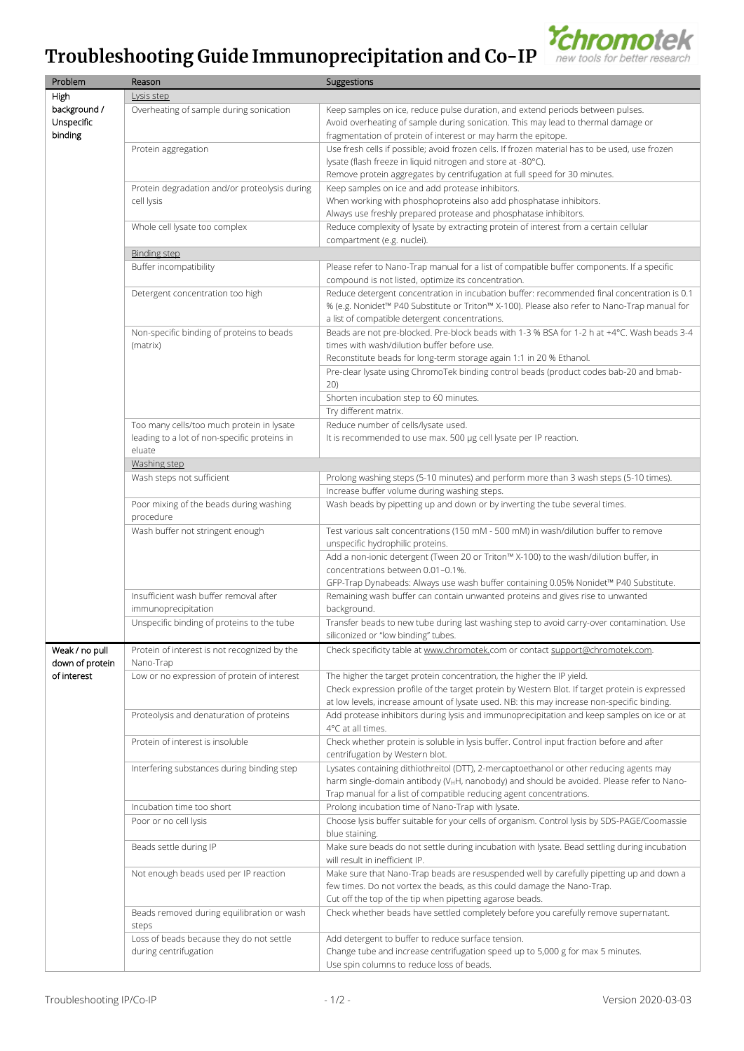## Troubleshooting Guide Immunoprecipitation and Co-IP



| Problem         | Reason                                        | Suggestions                                                                                                                                                                         |
|-----------------|-----------------------------------------------|-------------------------------------------------------------------------------------------------------------------------------------------------------------------------------------|
| High            | Lysis step                                    |                                                                                                                                                                                     |
| background /    | Overheating of sample during sonication       | Keep samples on ice, reduce pulse duration, and extend periods between pulses.                                                                                                      |
| Unspecific      |                                               | Avoid overheating of sample during sonication. This may lead to thermal damage or                                                                                                   |
| binding         |                                               | fragmentation of protein of interest or may harm the epitope.                                                                                                                       |
|                 | Protein aggregation                           | Use fresh cells if possible; avoid frozen cells. If frozen material has to be used, use frozen                                                                                      |
|                 |                                               | lysate (flash freeze in liquid nitrogen and store at -80°C).                                                                                                                        |
|                 |                                               | Remove protein aggregates by centrifugation at full speed for 30 minutes.                                                                                                           |
|                 | Protein degradation and/or proteolysis during | Keep samples on ice and add protease inhibitors.                                                                                                                                    |
|                 | cell lysis                                    | When working with phosphoproteins also add phosphatase inhibitors.                                                                                                                  |
|                 |                                               | Always use freshly prepared protease and phosphatase inhibitors.                                                                                                                    |
|                 | Whole cell lysate too complex                 | Reduce complexity of lysate by extracting protein of interest from a certain cellular                                                                                               |
|                 |                                               | compartment (e.g. nuclei).                                                                                                                                                          |
|                 | <b>Binding step</b>                           |                                                                                                                                                                                     |
|                 | Buffer incompatibility                        | Please refer to Nano-Trap manual for a list of compatible buffer components. If a specific                                                                                          |
|                 |                                               | compound is not listed, optimize its concentration.                                                                                                                                 |
|                 | Detergent concentration too high              | Reduce detergent concentration in incubation buffer: recommended final concentration is 0.1                                                                                         |
|                 |                                               | % (e.g. Nonidet™ P40 Substitute or Triton™ X-100). Please also refer to Nano-Trap manual for                                                                                        |
|                 |                                               | a list of compatible detergent concentrations.                                                                                                                                      |
|                 | Non-specific binding of proteins to beads     | Beads are not pre-blocked. Pre-block beads with 1-3 % BSA for 1-2 h at +4°C. Wash beads 3-4                                                                                         |
|                 | (matrix)                                      | times with wash/dilution buffer before use.                                                                                                                                         |
|                 |                                               | Reconstitute beads for long-term storage again 1:1 in 20 % Ethanol.                                                                                                                 |
|                 |                                               | Pre-clear lysate using ChromoTek binding control beads (product codes bab-20 and bmab-                                                                                              |
|                 |                                               | 20)                                                                                                                                                                                 |
|                 |                                               | Shorten incubation step to 60 minutes.                                                                                                                                              |
|                 |                                               | Try different matrix.                                                                                                                                                               |
|                 | Too many cells/too much protein in lysate     | Reduce number of cells/lysate used.                                                                                                                                                 |
|                 | leading to a lot of non-specific proteins in  | It is recommended to use max. 500 µg cell lysate per IP reaction.                                                                                                                   |
|                 | eluate                                        |                                                                                                                                                                                     |
|                 | Washing step                                  |                                                                                                                                                                                     |
|                 | Wash steps not sufficient                     | Prolong washing steps (5-10 minutes) and perform more than 3 wash steps (5-10 times).                                                                                               |
|                 |                                               | Increase buffer volume during washing steps.                                                                                                                                        |
|                 | Poor mixing of the beads during washing       | Wash beads by pipetting up and down or by inverting the tube several times.                                                                                                         |
|                 | procedure                                     |                                                                                                                                                                                     |
|                 | Wash buffer not stringent enough              | Test various salt concentrations (150 mM - 500 mM) in wash/dilution buffer to remove                                                                                                |
|                 |                                               | unspecific hydrophilic proteins.                                                                                                                                                    |
|                 |                                               | Add a non-ionic detergent (Tween 20 or Triton™ X-100) to the wash/dilution buffer, in                                                                                               |
|                 |                                               | concentrations between 0.01-0.1%.                                                                                                                                                   |
|                 |                                               | GFP-Trap Dynabeads: Always use wash buffer containing 0.05% Nonidet™ P40 Substitute.                                                                                                |
|                 | Insufficient wash buffer removal after        | Remaining wash buffer can contain unwanted proteins and gives rise to unwanted                                                                                                      |
|                 | immunoprecipitation                           | background.                                                                                                                                                                         |
|                 | Unspecific binding of proteins to the tube    | Transfer beads to new tube during last washing step to avoid carry-over contamination. Use                                                                                          |
|                 |                                               | siliconized or "low binding" tubes.                                                                                                                                                 |
| Weak / no pull  | Protein of interest is not recognized by the  | Check specificity table at www.chromotek.com or contact support@chromotek.com.                                                                                                      |
| down of protein | Nano-Trap                                     |                                                                                                                                                                                     |
| of interest     | Low or no expression of protein of interest   | The higher the target protein concentration, the higher the IP yield.                                                                                                               |
|                 |                                               | Check expression profile of the target protein by Western Blot. If target protein is expressed                                                                                      |
|                 |                                               | at low levels, increase amount of lysate used. NB: this may increase non-specific binding.                                                                                          |
|                 | Proteolysis and denaturation of proteins      | Add protease inhibitors during lysis and immunoprecipitation and keep samples on ice or at                                                                                          |
|                 |                                               | 4°C at all times.                                                                                                                                                                   |
|                 | Protein of interest is insoluble              | Check whether protein is soluble in lysis buffer. Control input fraction before and after                                                                                           |
|                 |                                               | centrifugation by Western blot.                                                                                                                                                     |
|                 | Interfering substances during binding step    | Lysates containing dithiothreitol (DTT), 2-mercaptoethanol or other reducing agents may<br>harm single-domain antibody (VHH, nanobody) and should be avoided. Please refer to Nano- |
|                 |                                               | Trap manual for a list of compatible reducing agent concentrations.                                                                                                                 |
|                 | Incubation time too short                     | Prolong incubation time of Nano-Trap with lysate.                                                                                                                                   |
|                 |                                               | Choose lysis buffer suitable for your cells of organism. Control lysis by SDS-PAGE/Coomassie                                                                                        |
|                 | Poor or no cell lysis                         | blue staining.                                                                                                                                                                      |
|                 | Beads settle during IP                        | Make sure beads do not settle during incubation with lysate. Bead settling during incubation                                                                                        |
|                 |                                               | will result in inefficient IP.                                                                                                                                                      |
|                 | Not enough beads used per IP reaction         | Make sure that Nano-Trap beads are resuspended well by carefully pipetting up and down a                                                                                            |
|                 |                                               | few times. Do not vortex the beads, as this could damage the Nano-Trap.                                                                                                             |
|                 |                                               | Cut off the top of the tip when pipetting agarose beads.                                                                                                                            |
|                 | Beads removed during equilibration or wash    | Check whether beads have settled completely before you carefully remove supernatant.                                                                                                |
|                 | steps                                         |                                                                                                                                                                                     |
|                 | Loss of beads because they do not settle      | Add detergent to buffer to reduce surface tension.                                                                                                                                  |
|                 | during centrifugation                         | Change tube and increase centrifugation speed up to 5,000 g for max 5 minutes.                                                                                                      |
|                 |                                               | Use spin columns to reduce loss of beads.                                                                                                                                           |